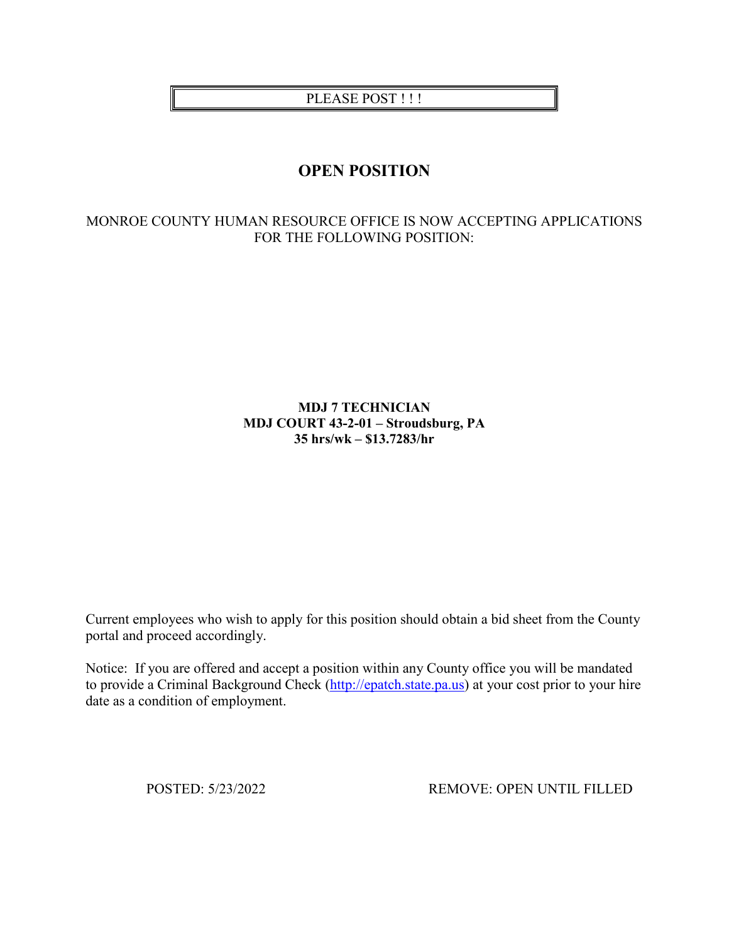PLEASE POST!!!

# **OPEN POSITION**

# MONROE COUNTY HUMAN RESOURCE OFFICE IS NOW ACCEPTING APPLICATIONS FOR THE FOLLOWING POSITION:

## **MDJ 7 TECHNICIAN MDJ COURT 43-2-01 – Stroudsburg, PA 35 hrs/wk – \$13.7283/hr**

Current employees who wish to apply for this position should obtain a bid sheet from the County portal and proceed accordingly.

Notice: If you are offered and accept a position within any County office you will be mandated to provide a Criminal Background Check [\(http://epatch.state.pa.us\)](http://epatch.state.pa.us/) at your cost prior to your hire date as a condition of employment.

POSTED: 5/23/2022 REMOVE: OPEN UNTIL FILLED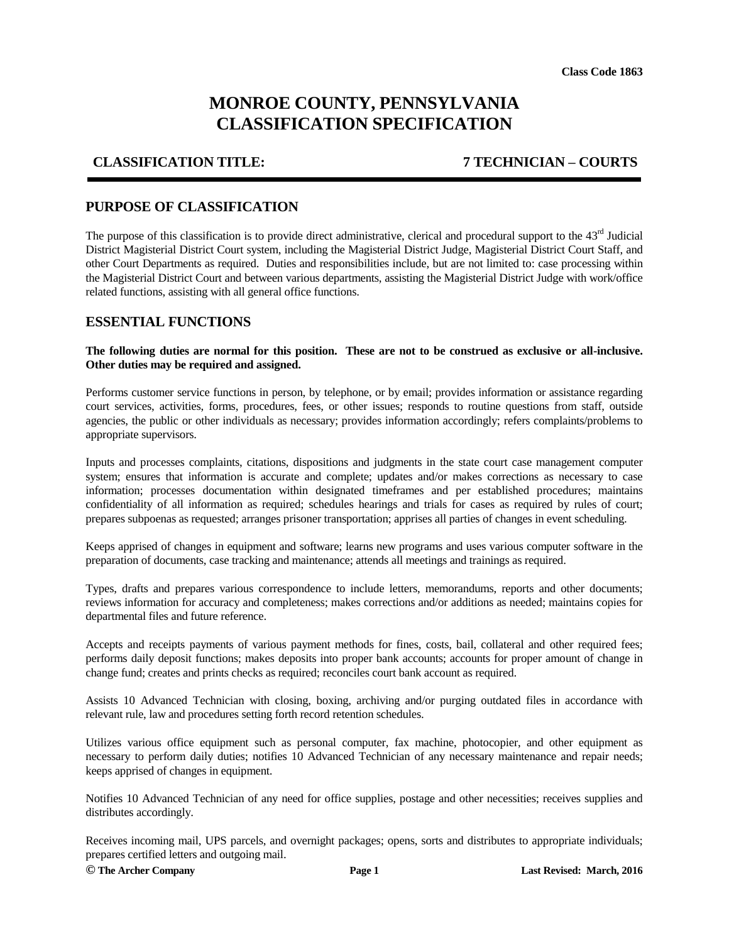# **MONROE COUNTY, PENNSYLVANIA CLASSIFICATION SPECIFICATION**

### **CLASSIFICATION TITLE: 7 TECHNICIAN – COURTS**

### **PURPOSE OF CLASSIFICATION**

The purpose of this classification is to provide direct administrative, clerical and procedural support to the 43<sup>rd</sup> Judicial District Magisterial District Court system, including the Magisterial District Judge, Magisterial District Court Staff, and other Court Departments as required. Duties and responsibilities include, but are not limited to: case processing within the Magisterial District Court and between various departments, assisting the Magisterial District Judge with work/office related functions, assisting with all general office functions.

### **ESSENTIAL FUNCTIONS**

#### **The following duties are normal for this position. These are not to be construed as exclusive or all-inclusive. Other duties may be required and assigned.**

Performs customer service functions in person, by telephone, or by email; provides information or assistance regarding court services, activities, forms, procedures, fees, or other issues; responds to routine questions from staff, outside agencies, the public or other individuals as necessary; provides information accordingly; refers complaints/problems to appropriate supervisors.

Inputs and processes complaints, citations, dispositions and judgments in the state court case management computer system; ensures that information is accurate and complete; updates and/or makes corrections as necessary to case information; processes documentation within designated timeframes and per established procedures; maintains confidentiality of all information as required; schedules hearings and trials for cases as required by rules of court; prepares subpoenas as requested; arranges prisoner transportation; apprises all parties of changes in event scheduling.

Keeps apprised of changes in equipment and software; learns new programs and uses various computer software in the preparation of documents, case tracking and maintenance; attends all meetings and trainings as required.

Types, drafts and prepares various correspondence to include letters, memorandums, reports and other documents; reviews information for accuracy and completeness; makes corrections and/or additions as needed; maintains copies for departmental files and future reference.

Accepts and receipts payments of various payment methods for fines, costs, bail, collateral and other required fees; performs daily deposit functions; makes deposits into proper bank accounts; accounts for proper amount of change in change fund; creates and prints checks as required; reconciles court bank account as required.

Assists 10 Advanced Technician with closing, boxing, archiving and/or purging outdated files in accordance with relevant rule, law and procedures setting forth record retention schedules.

Utilizes various office equipment such as personal computer, fax machine, photocopier, and other equipment as necessary to perform daily duties; notifies 10 Advanced Technician of any necessary maintenance and repair needs; keeps apprised of changes in equipment.

Notifies 10 Advanced Technician of any need for office supplies, postage and other necessities; receives supplies and distributes accordingly.

Receives incoming mail, UPS parcels, and overnight packages; opens, sorts and distributes to appropriate individuals; prepares certified letters and outgoing mail.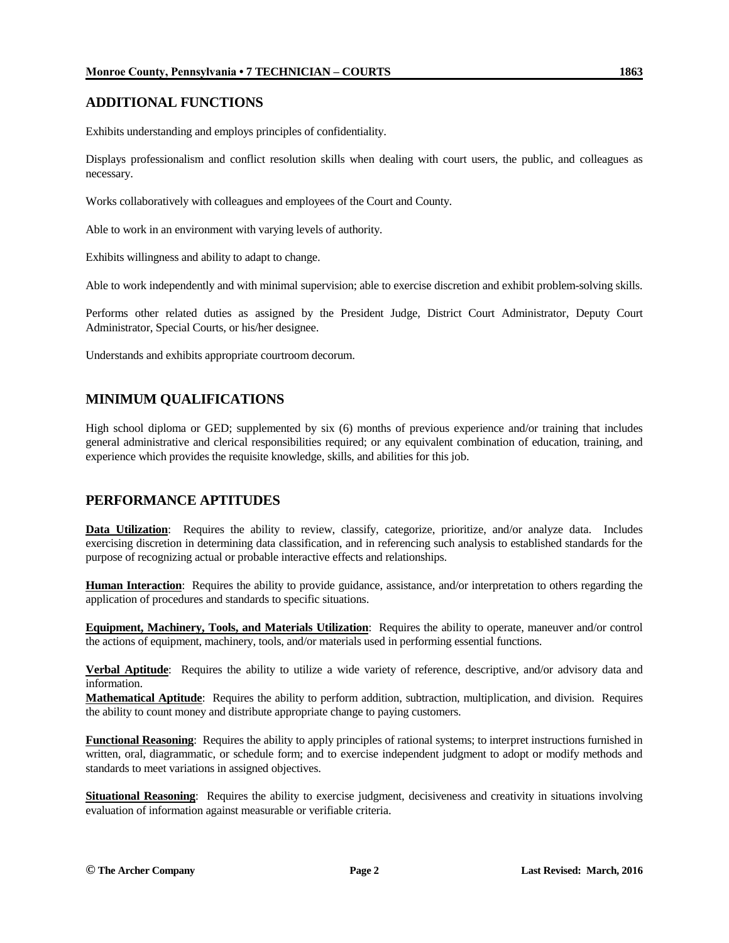# **ADDITIONAL FUNCTIONS**

Exhibits understanding and employs principles of confidentiality.

Displays professionalism and conflict resolution skills when dealing with court users, the public, and colleagues as necessary.

Works collaboratively with colleagues and employees of the Court and County.

Able to work in an environment with varying levels of authority.

Exhibits willingness and ability to adapt to change.

Able to work independently and with minimal supervision; able to exercise discretion and exhibit problem-solving skills.

Performs other related duties as assigned by the President Judge, District Court Administrator, Deputy Court Administrator, Special Courts, or his/her designee.

Understands and exhibits appropriate courtroom decorum.

# **MINIMUM QUALIFICATIONS**

High school diploma or GED; supplemented by six (6) months of previous experience and/or training that includes general administrative and clerical responsibilities required; or any equivalent combination of education, training, and experience which provides the requisite knowledge, skills, and abilities for this job.

## **PERFORMANCE APTITUDES**

Data Utilization: Requires the ability to review, classify, categorize, prioritize, and/or analyze data. Includes exercising discretion in determining data classification, and in referencing such analysis to established standards for the purpose of recognizing actual or probable interactive effects and relationships.

**Human Interaction**: Requires the ability to provide guidance, assistance, and/or interpretation to others regarding the application of procedures and standards to specific situations.

**Equipment, Machinery, Tools, and Materials Utilization**: Requires the ability to operate, maneuver and/or control the actions of equipment, machinery, tools, and/or materials used in performing essential functions.

**Verbal Aptitude**: Requires the ability to utilize a wide variety of reference, descriptive, and/or advisory data and information.

**Mathematical Aptitude**: Requires the ability to perform addition, subtraction, multiplication, and division. Requires the ability to count money and distribute appropriate change to paying customers.

**Functional Reasoning**: Requires the ability to apply principles of rational systems; to interpret instructions furnished in written, oral, diagrammatic, or schedule form; and to exercise independent judgment to adopt or modify methods and standards to meet variations in assigned objectives.

**Situational Reasoning**: Requires the ability to exercise judgment, decisiveness and creativity in situations involving evaluation of information against measurable or verifiable criteria.